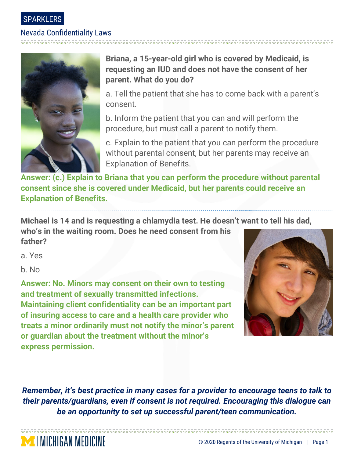

## Nevada Confidentiality Laws



**Briana, a 15-year-old girl who is covered by Medicaid, is requesting an IUD and does not have the consent of her parent. What do you do?**

a. Tell the patient that she has to come back with a parent's consent.

b. Inform the patient that you can and will perform the procedure, but must call a parent to notify them.

c. Explain to the patient that you can perform the procedure without parental consent, but her parents may receive an Explanation of Benefits.

**Answer: (c.) Explain to Briana that you can perform the procedure without parental consent since she is covered under Medicaid, but her parents could receive an Explanation of Benefits.** 

**Michael is 14 and is requesting a chlamydia test. He doesn't want to tell his dad,** 

**who's in the waiting room. Does he need consent from his father?**

a. Yes

b. No

MICHIGAN MEDICINE

**Answer: No. Minors may consent on their own to testing and treatment of sexually transmitted infections. Maintaining client confidentiality can be an important part of insuring access to care and a health care provider who treats a minor ordinarily must not notify the minor's parent or guardian about the treatment without the minor's express permission.**



*Remember, it's best practice in many cases for a provider to encourage teens to talk to their parents/guardians, even if consent is not required. Encouraging this dialogue can be an opportunity to set up successful parent/teen communication.*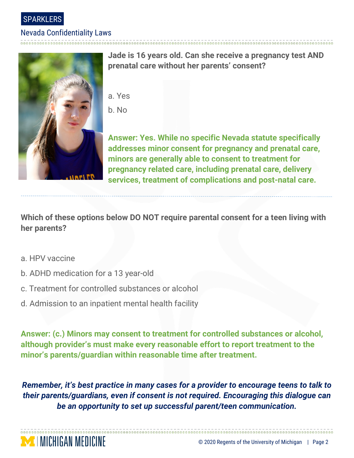SPARKLERS

#### Nevada Confidentiality Laws



**Jade is 16 years old. Can she receive a pregnancy test AND prenatal care without her parents' consent?**

- a. Yes
- b. No

**Answer: Yes. While no specific Nevada statute specifically addresses minor consent for pregnancy and prenatal care, minors are generally able to consent to treatment for pregnancy related care, including prenatal care, delivery services, treatment of complications and post-natal care.**

**Which of these options below DO NOT require parental consent for a teen living with her parents?**

a. HPV vaccine

**MENICHIGAN MEDICINE** 

- b. ADHD medication for a 13 year-old
- c. Treatment for controlled substances or alcohol
- d. Admission to an inpatient mental health facility

**Answer: (c.) Minors may consent to treatment for controlled substances or alcohol, although provider's must make every reasonable effort to report treatment to the minor's parents/guardian within reasonable time after treatment.**

*Remember, it's best practice in many cases for a provider to encourage teens to talk to their parents/guardians, even if consent is not required. Encouraging this dialogue can be an opportunity to set up successful parent/teen communication.*